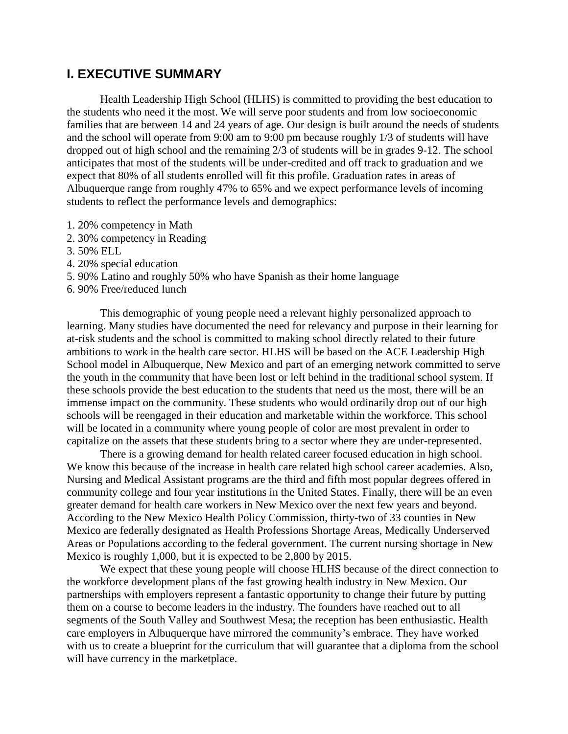## **I. EXECUTIVE SUMMARY**

Health Leadership High School (HLHS) is committed to providing the best education to the students who need it the most. We will serve poor students and from low socioeconomic families that are between 14 and 24 years of age. Our design is built around the needs of students and the school will operate from 9:00 am to 9:00 pm because roughly 1/3 of students will have dropped out of high school and the remaining 2/3 of students will be in grades 9-12. The school anticipates that most of the students will be under-credited and off track to graduation and we expect that 80% of all students enrolled will fit this profile. Graduation rates in areas of Albuquerque range from roughly 47% to 65% and we expect performance levels of incoming students to reflect the performance levels and demographics:

- 1. 20% competency in Math
- 2. 30% competency in Reading
- 3. 50% ELL
- 4. 20% special education
- 5. 90% Latino and roughly 50% who have Spanish as their home language
- 6. 90% Free/reduced lunch

This demographic of young people need a relevant highly personalized approach to learning. Many studies have documented the need for relevancy and purpose in their learning for at-risk students and the school is committed to making school directly related to their future ambitions to work in the health care sector. HLHS will be based on the ACE Leadership High School model in Albuquerque, New Mexico and part of an emerging network committed to serve the youth in the community that have been lost or left behind in the traditional school system. If these schools provide the best education to the students that need us the most, there will be an immense impact on the community. These students who would ordinarily drop out of our high schools will be reengaged in their education and marketable within the workforce. This school will be located in a community where young people of color are most prevalent in order to capitalize on the assets that these students bring to a sector where they are under-represented.

There is a growing demand for health related career focused education in high school. We know this because of the increase in health care related high school career academies. Also, Nursing and Medical Assistant programs are the third and fifth most popular degrees offered in community college and four year institutions in the United States. Finally, there will be an even greater demand for health care workers in New Mexico over the next few years and beyond. According to the New Mexico Health Policy Commission, thirty-two of 33 counties in New Mexico are federally designated as Health Professions Shortage Areas, Medically Underserved Areas or Populations according to the federal government. The current nursing shortage in New Mexico is roughly 1,000, but it is expected to be 2,800 by 2015.

We expect that these young people will choose HLHS because of the direct connection to the workforce development plans of the fast growing health industry in New Mexico. Our partnerships with employers represent a fantastic opportunity to change their future by putting them on a course to become leaders in the industry. The founders have reached out to all segments of the South Valley and Southwest Mesa; the reception has been enthusiastic. Health care employers in Albuquerque have mirrored the community's embrace. They have worked with us to create a blueprint for the curriculum that will guarantee that a diploma from the school will have currency in the marketplace.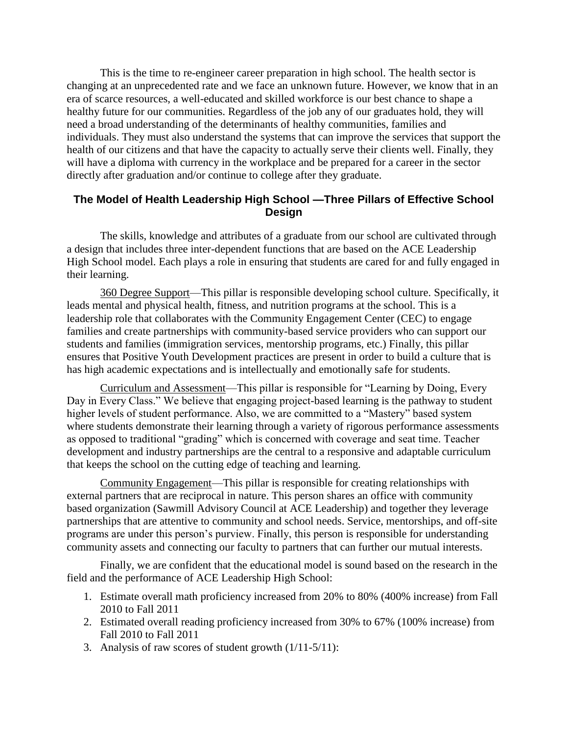This is the time to re-engineer career preparation in high school. The health sector is changing at an unprecedented rate and we face an unknown future. However, we know that in an era of scarce resources, a well-educated and skilled workforce is our best chance to shape a healthy future for our communities. Regardless of the job any of our graduates hold, they will need a broad understanding of the determinants of healthy communities, families and individuals. They must also understand the systems that can improve the services that support the health of our citizens and that have the capacity to actually serve their clients well. Finally, they will have a diploma with currency in the workplace and be prepared for a career in the sector directly after graduation and/or continue to college after they graduate.

## **The Model of Health Leadership High School —Three Pillars of Effective School Design**

The skills, knowledge and attributes of a graduate from our school are cultivated through a design that includes three inter-dependent functions that are based on the ACE Leadership High School model. Each plays a role in ensuring that students are cared for and fully engaged in their learning.

360 Degree Support—This pillar is responsible developing school culture. Specifically, it leads mental and physical health, fitness, and nutrition programs at the school. This is a leadership role that collaborates with the Community Engagement Center (CEC) to engage families and create partnerships with community-based service providers who can support our students and families (immigration services, mentorship programs, etc.) Finally, this pillar ensures that Positive Youth Development practices are present in order to build a culture that is has high academic expectations and is intellectually and emotionally safe for students.

Curriculum and Assessment—This pillar is responsible for "Learning by Doing, Every Day in Every Class." We believe that engaging project-based learning is the pathway to student higher levels of student performance. Also, we are committed to a "Mastery" based system where students demonstrate their learning through a variety of rigorous performance assessments as opposed to traditional "grading" which is concerned with coverage and seat time. Teacher development and industry partnerships are the central to a responsive and adaptable curriculum that keeps the school on the cutting edge of teaching and learning.

Community Engagement—This pillar is responsible for creating relationships with external partners that are reciprocal in nature. This person shares an office with community based organization (Sawmill Advisory Council at ACE Leadership) and together they leverage partnerships that are attentive to community and school needs. Service, mentorships, and off-site programs are under this person's purview. Finally, this person is responsible for understanding community assets and connecting our faculty to partners that can further our mutual interests.

Finally, we are confident that the educational model is sound based on the research in the field and the performance of ACE Leadership High School:

- 1. Estimate overall math proficiency increased from 20% to 80% (400% increase) from Fall 2010 to Fall 2011
- 2. Estimated overall reading proficiency increased from 30% to 67% (100% increase) from Fall 2010 to Fall 2011
- 3. Analysis of raw scores of student growth (1/11-5/11):